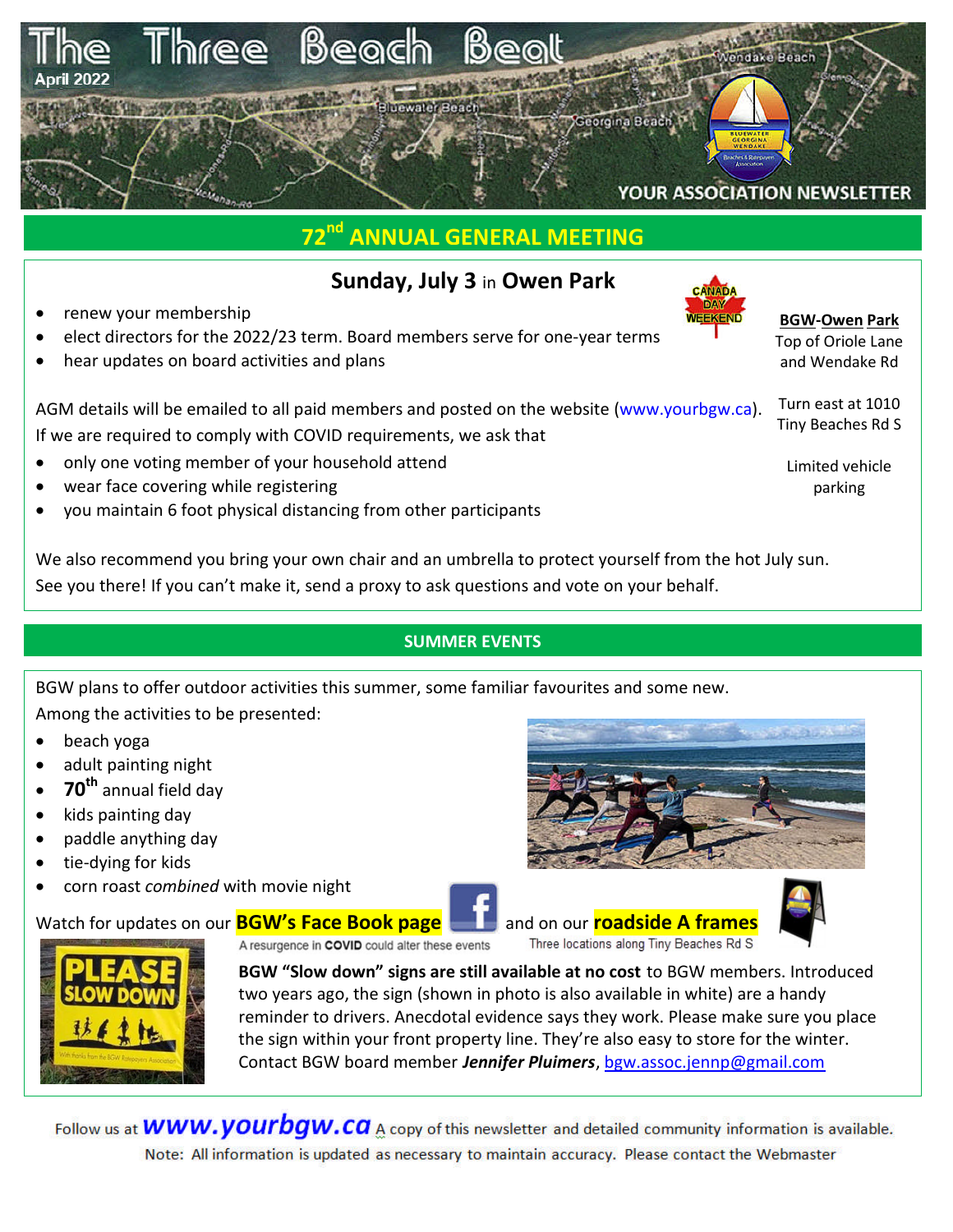

# **72nd ANNUAL GENERAL MEETING**

## **Sunday, July 3** in **Owen Park**

- renew your membership
- elect directors for the 2022/23 term. Board members serve for one-year terms
- hear updates on board activities and plans

#### **BGW-Owen Park**

Top of Oriole Lane and Wendake Rd

Turn east at 1010 Tiny Beaches Rd S

> Limited vehicle parking

AGM details will be emailed to all paid members and posted on the website (www.yourbgw.ca). If we are required to comply with COVID requirements, we ask that

- only one voting member of your household attend
- wear face covering while registering
- you maintain 6 foot physical distancing from other participants

We also recommend you bring your own chair and an umbrella to protect yourself from the hot July sun. See you there! If you can't make it, send a proxy to ask questions and vote on your behalf.

## **SUMMER EVENTS**

BGW plans to offer outdoor activities this summer, some familiar favourites and some new. Among the activities to be presented:

- beach yoga
- adult painting night
- **70th** annual field day
- $\bullet$  kids painting day
- paddle anything day
- tie-dying for kids
- corn roast *combined* with movie night

# Watch for updates on our **BGW's Face Book page and and on our roadside A frames**





A resurgence in COVID could alter these events

Three locations along Tiny Beaches Rd S



**BGW "Slow down" signs are still available at no cost** to BGW members. Introduced two years ago, the sign (shown in photo is also available in white) are a handy reminder to drivers. Anecdotal evidence says they work. Please make sure you place the sign within your front property line. They're also easy to store for the winter. Contact BGW board member *Jennifer Pluimers*, bgw.assoc.jennp@gmail.com

Follow us at  $WWW.VOUTbgW.Ca$  A copy of this newsletter and detailed community information is available. Note: All information is updated as necessary to maintain accuracy. Please contact the Webmaster